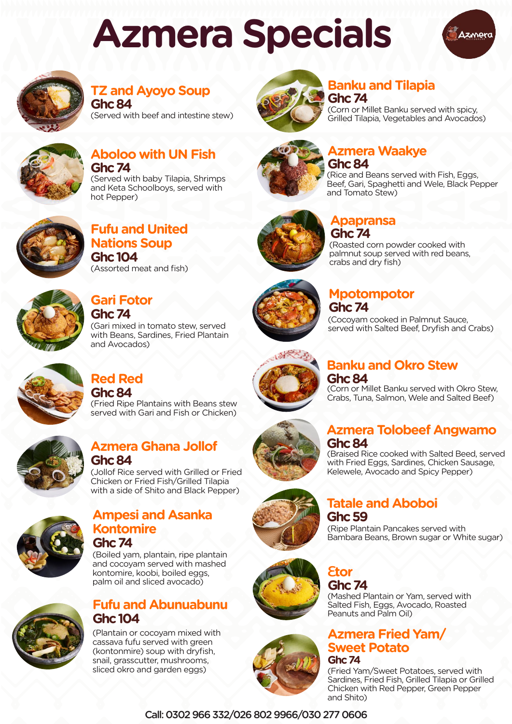Call: 0302 966 332/026 802 9966/030 277 0606

### **Fufu and United Nations Soup Ghc 104** (Assorted meat and fish)



### **Gari Fotor Ghc 74**

(Gari mixed in tomato stew, served with Beans, Sardines, Fried Plantain and Avocados)



### **Azmera Waakye Ghc 84**

(Rice and Beans served with Fish, Eggs, Beef, Gari, Spaghetti and Wele, Black Pepper and Tomato Stew)



### **Apapransa Ghc 74**

(Roasted corn powder cooked with palmnut soup served with red beans, crabs and dry fish)



### **Azmera Ghana Jollof Ghc 84**

(Jollof Rice served with Grilled or Fried Chicken or Fried Fish/Grilled Tilapia with a side of Shito and Black Pepper)



### **Aboloo with UN Fish Ghc 74**

(Served with baby Tilapia, Shrimps and Keta Schoolboys, served with hot Pepper)



### **TZ and Ayoyo Soup Ghc 84**

(Served with beef and intestine stew)



### **Azmera Tolobeef Angwamo Ghc 84**

(Braised Rice cooked with Salted Beed, served with Fried Eggs, Sardines, Chicken Sausage, Kelewele, Avocado and Spicy Pepper)

### **Banku and Okro Stew Ghc 84**

(Corn or Millet Banku served with Okro Stew, Crabs, Tuna, Salmon, Wele and Salted Beef)



### **Tatale and Aboboi Ghc 59**

(Ripe Plantain Pancakes served with Bambara Beans, Brown sugar or White sugar)

### ε**tor Ghc 74**

(Mashed Plantain or Yam, served with Salted Fish, Eggs, Avocado, Roasted Peanuts and Palm Oil)

### **Azmera Fried Yam/ Sweet Potato**



(Fried Yam/Sweet Potatoes, served with Sardines, Fried Fish, Grilled Tilapia or Grilled Chicken with Red Pepper, Green Pepper and Shito)

### **Banku and Tilapia Ghc 74**

(Corn or Millet Banku served with spicy, Grilled Tilapia, Vegetables and Avocados)



### **Mpotompotor Ghc 74**

(Cocoyam cooked in Palmnut Sauce, served with Salted Beef, Dryfish and Crabs)



### **Fufu and Abunuabunu Ghc 104**

(Plantain or cocoyam mixed with cassava fufu served with green (kontonmire) soup with dryfish, snail, grasscutter, mushrooms, sliced okro and garden eggs)



### **Red Red Ghc 84**

(Fried Ripe Plantains with Beans stew served with Gari and Fish or Chicken)



### **Ampesi and Asanka Kontomire Ghc 74**



(Boiled yam, plantain, ripe plantain and cocoyam served with mashed kontomire, koobi, boiled eggs, palm oil and sliced avocado)

## **Azmera Specials**



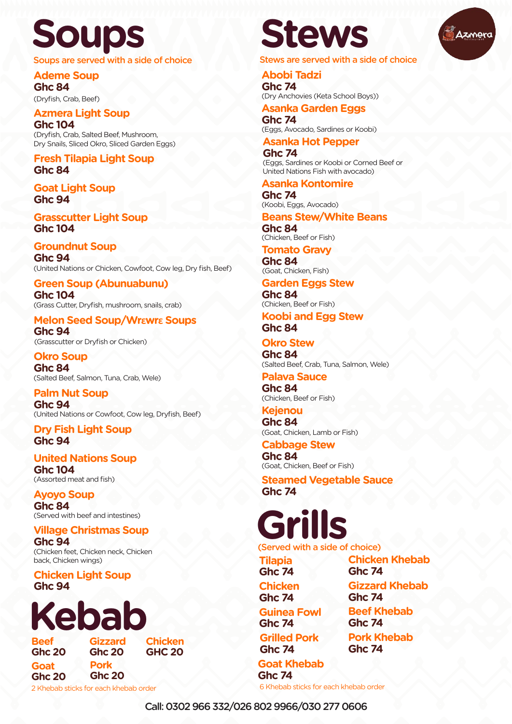**Ayoyo Soup Ghc 84** (Served with beef and intestines)

**Village Christmas Soup Ghc 94**

Soups are served with a side of choice Stews are served with a side of choice

(Chicken feet, Chicken neck, Chicken back, Chicken wings)

**Ademe Soup Ghc 84** (Dryfish, Crab, Beef)

**Groundnut Soup Ghc 94** (United Nations or Chicken, Cowfoot, Cow leg, Dry fish, Beef)

**Palm Nut Soup Ghc 94** (United Nations or Cowfoot, Cow leg, Dryfish, Beef)

**Chicken Light Soup Ghc 94**

**United Nations Soup Ghc 104** (Assorted meat and fish)

**Okro Soup Ghc 84** (Salted Beef, Salmon, Tuna, Crab, Wele)

**Fresh Tilapia Light Soup Ghc 84**

**Goat Light Soup Ghc 94**

**Dry Fish Light Soup Ghc 94**

**Grasscutter Light Soup Ghc 104**

#### **Azmera Light Soup Ghc 104**

(Dryfish, Crab, Salted Beef, Mushroom, Dry Snails, Sliced Okro, Sliced Garden Eggs) **Abobi Tadzi Ghc 74** (Dry Anchovies (Keta School Boys))

### **Asanka Garden Eggs**

**Ghc 74** (Eggs, Avocado, Sardines or Koobi)

### **Asanka Hot Pepper**

**Ghc 74** (Eggs, Sardines or Koobi or Corned Beef or United Nations Fish with avocado)

### **Asanka Kontomire**

**Ghc 74** (Koobi, Eggs, Avocado)

### **Beans Stew/White Beans**

**Ghc 84** (Chicken, Beef or Fish)

**Garden Eggs Stew Ghc 84** (Chicken, Beef or Fish)

### **Okro Stew**

**Ghc 84** (Salted Beef, Crab, Tuna, Salmon, Wele)

**Koobi and Egg Stew Ghc 84**

**Steamed Vegetable Sauce Ghc 74**

**Palava Sauce Ghc 84**

(Chicken, Beef or Fish) **Kejenou**

**Ghc 84** (Goat, Chicken, Lamb or Fish)

**Cabbage Stew Ghc 84** (Goat, Chicken, Beef or Fish)

**Green Soup (Abunuabunu) Ghc 104** (Grass Cutter, Dryfish, mushroom, snails, crab)

### **Melon Seed Soup/Wrεwrε Soups**

**Ghc 94** (Grasscutter or Dryfish or Chicken)





**Tilapia Ghc 74 Chicken Ghc 74 Guinea Fowl Ghc 74 Grilled Pork Ghc 74 Goat Khebab Ghc 74**

**Beef Ghc 20 Goat Ghc 20 Gizzard Ghc 20 Chicken GHC 20 Pork Ghc 20** 

2 Khebab sticks for each khebab order 6 Khebab sticks for each khebab order

**Chicken Khebab Ghc 74 Gizzard Khebab Ghc 74 Beef Khebab Ghc 74 Pork Khebab Ghc 74**

**Tomato Gravy Ghc 84**

(Goat, Chicken, Fish)

# **Soups Stews**

### **Kebab**

Call: 0302 966 332/026 802 9966/030 277 0606